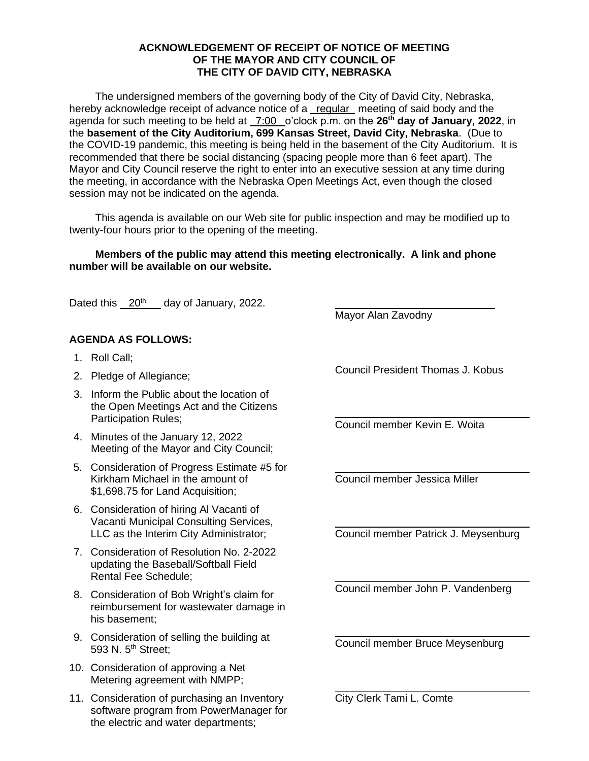## **ACKNOWLEDGEMENT OF RECEIPT OF NOTICE OF MEETING OF THE MAYOR AND CITY COUNCIL OF THE CITY OF DAVID CITY, NEBRASKA**

The undersigned members of the governing body of the City of David City, Nebraska, hereby acknowledge receipt of advance notice of a regular meeting of said body and the agenda for such meeting to be held at \_7:00 \_o'clock p.m. on the 26<sup>th</sup> day of January, 2022, in the **basement of the City Auditorium, 699 Kansas Street, David City, Nebraska**. (Due to the COVID-19 pandemic, this meeting is being held in the basement of the City Auditorium. It is recommended that there be social distancing (spacing people more than 6 feet apart). The Mayor and City Council reserve the right to enter into an executive session at any time during the meeting, in accordance with the Nebraska Open Meetings Act, even though the closed session may not be indicated on the agenda.

This agenda is available on our Web site for public inspection and may be modified up to twenty-four hours prior to the opening of the meeting.

## **Members of the public may attend this meeting electronically. A link and phone number will be available on our website.**

Dated this  $20<sup>th</sup>$  day of January, 2022.

## **AGENDA AS FOLLOWS:**

- 1. Roll Call;
- 2. Pledge of Allegiance;
- 3. Inform the Public about the location of the Open Meetings Act and the Citizens Participation Rules;
- 4. Minutes of the January 12, 2022 Meeting of the Mayor and City Council;
- 5. Consideration of Progress Estimate #5 for Kirkham Michael in the amount of \$1,698.75 for Land Acquisition;
- 6. Consideration of hiring Al Vacanti of Vacanti Municipal Consulting Services, LLC as the Interim City Administrator;
- 7. Consideration of Resolution No. 2-2022 updating the Baseball/Softball Field Rental Fee Schedule;
- 8. Consideration of Bob Wright's claim for reimbursement for wastewater damage in his basement;
- 9. Consideration of selling the building at 593 N. 5<sup>th</sup> Street;
- 10. Consideration of approving a Net Metering agreement with NMPP;
- 11. Consideration of purchasing an Inventory software program from PowerManager for the electric and water departments;

Mayor Alan Zavodny

Council President Thomas J. Kobus

Council member Kevin E. Woita

Council member Jessica Miller

Council member Patrick J. Meysenburg

Council member John P. Vandenberg

Council member Bruce Meysenburg

City Clerk Tami L. Comte